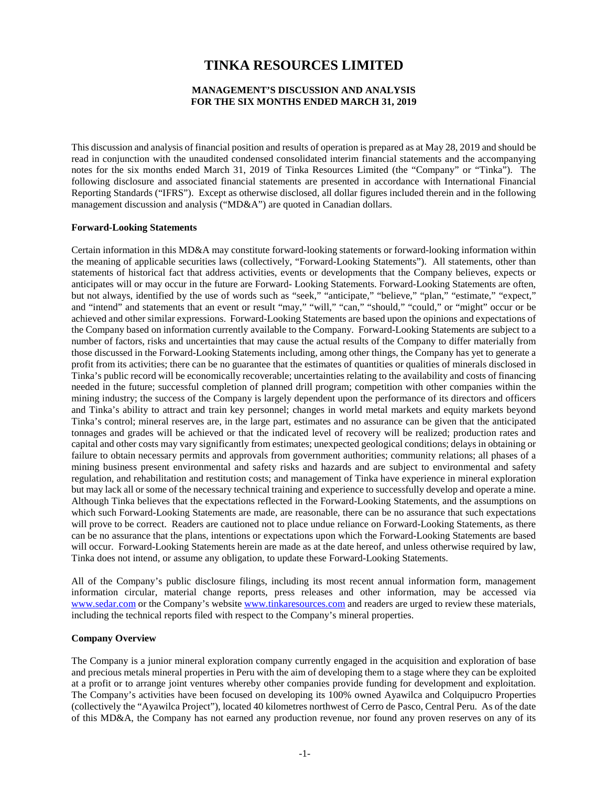# **TINKA RESOURCES LIMITED**

## **MANAGEMENT'S DISCUSSION AND ANALYSIS FOR THE SIX MONTHS ENDED MARCH 31, 2019**

This discussion and analysis of financial position and results of operation is prepared as at May 28, 2019 and should be read in conjunction with the unaudited condensed consolidated interim financial statements and the accompanying notes for the six months ended March 31, 2019 of Tinka Resources Limited (the "Company" or "Tinka"). The following disclosure and associated financial statements are presented in accordance with International Financial Reporting Standards ("IFRS"). Except as otherwise disclosed, all dollar figures included therein and in the following management discussion and analysis ("MD&A") are quoted in Canadian dollars.

#### **Forward-Looking Statements**

Certain information in this MD&A may constitute forward-looking statements or forward-looking information within the meaning of applicable securities laws (collectively, "Forward-Looking Statements"). All statements, other than statements of historical fact that address activities, events or developments that the Company believes, expects or anticipates will or may occur in the future are Forward- Looking Statements. Forward-Looking Statements are often, but not always, identified by the use of words such as "seek," "anticipate," "believe," "plan," "estimate," "expect," and "intend" and statements that an event or result "may," "will," "can," "should," "could," or "might" occur or be achieved and other similar expressions. Forward-Looking Statements are based upon the opinions and expectations of the Company based on information currently available to the Company. Forward-Looking Statements are subject to a number of factors, risks and uncertainties that may cause the actual results of the Company to differ materially from those discussed in the Forward-Looking Statements including, among other things, the Company has yet to generate a profit from its activities; there can be no guarantee that the estimates of quantities or qualities of minerals disclosed in Tinka's public record will be economically recoverable; uncertainties relating to the availability and costs of financing needed in the future; successful completion of planned drill program; competition with other companies within the mining industry; the success of the Company is largely dependent upon the performance of its directors and officers and Tinka's ability to attract and train key personnel; changes in world metal markets and equity markets beyond Tinka's control; mineral reserves are, in the large part, estimates and no assurance can be given that the anticipated tonnages and grades will be achieved or that the indicated level of recovery will be realized; production rates and capital and other costs may vary significantly from estimates; unexpected geological conditions; delays in obtaining or failure to obtain necessary permits and approvals from government authorities; community relations; all phases of a mining business present environmental and safety risks and hazards and are subject to environmental and safety regulation, and rehabilitation and restitution costs; and management of Tinka have experience in mineral exploration but may lack all or some of the necessary technical training and experience to successfully develop and operate a mine. Although Tinka believes that the expectations reflected in the Forward-Looking Statements, and the assumptions on which such Forward-Looking Statements are made, are reasonable, there can be no assurance that such expectations will prove to be correct. Readers are cautioned not to place undue reliance on Forward-Looking Statements, as there can be no assurance that the plans, intentions or expectations upon which the Forward-Looking Statements are based will occur. Forward-Looking Statements herein are made as at the date hereof, and unless otherwise required by law, Tinka does not intend, or assume any obligation, to update these Forward-Looking Statements.

All of the Company's public disclosure filings, including its most recent annual information form, management information circular, material change reports, press releases and other information, may be accessed via [www.sedar.com](http://www.sedar.com/) or the Company's website [www.tinkaresources.com](http://www.tinkaresources.com/) and readers are urged to review these materials, including the technical reports filed with respect to the Company's mineral properties.

#### **Company Overview**

The Company is a junior mineral exploration company currently engaged in the acquisition and exploration of base and precious metals mineral properties in Peru with the aim of developing them to a stage where they can be exploited at a profit or to arrange joint ventures whereby other companies provide funding for development and exploitation. The Company's activities have been focused on developing its 100% owned Ayawilca and Colquipucro Properties (collectively the "Ayawilca Project"), located 40 kilometres northwest of Cerro de Pasco, Central Peru. As of the date of this MD&A, the Company has not earned any production revenue, nor found any proven reserves on any of its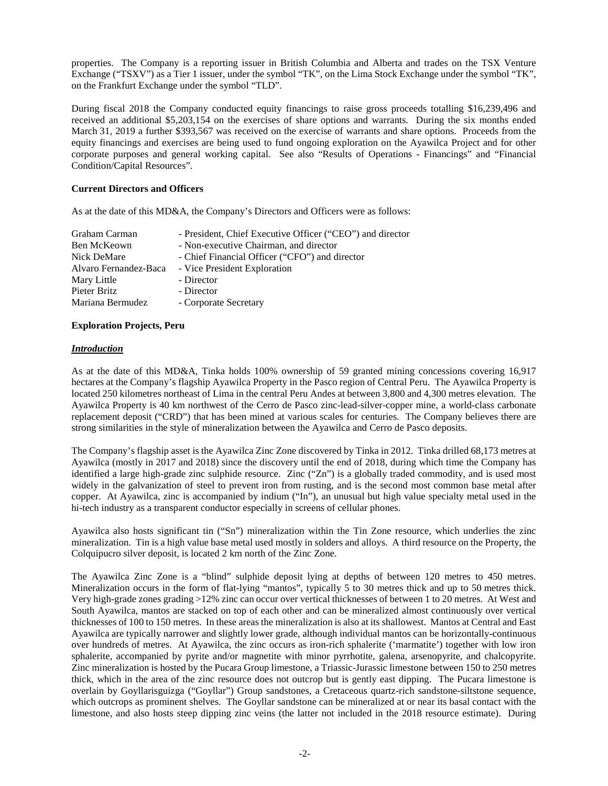properties. The Company is a reporting issuer in British Columbia and Alberta and trades on the TSX Venture Exchange ("TSXV") as a Tier 1 issuer, under the symbol "TK", on the Lima Stock Exchange under the symbol "TK", on the Frankfurt Exchange under the symbol "TLD".

During fiscal 2018 the Company conducted equity financings to raise gross proceeds totalling \$16,239,496 and received an additional \$5,203,154 on the exercises of share options and warrants. During the six months ended March 31, 2019 a further \$393,567 was received on the exercise of warrants and share options. Proceeds from the equity financings and exercises are being used to fund ongoing exploration on the Ayawilca Project and for other corporate purposes and general working capital. See also "Results of Operations - Financings" and "Financial Condition/Capital Resources".

## **Current Directors and Officers**

As at the date of this MD&A, the Company's Directors and Officers were as follows:

| Graham Carman         | - President, Chief Executive Officer ("CEO") and director |
|-----------------------|-----------------------------------------------------------|
| Ben McKeown           | - Non-executive Chairman, and director                    |
| Nick DeMare           | - Chief Financial Officer ("CFO") and director            |
| Alvaro Fernandez-Baca | - Vice President Exploration                              |
| Mary Little           | - Director                                                |
| Pieter Britz          | - Director                                                |
| Mariana Bermudez      | - Corporate Secretary                                     |

#### **Exploration Projects, Peru**

#### *Introduction*

As at the date of this MD&A, Tinka holds 100% ownership of 59 granted mining concessions covering 16,917 hectares at the Company's flagship Ayawilca Property in the Pasco region of Central Peru. The Ayawilca Property is located 250 kilometres northeast of Lima in the central Peru Andes at between 3,800 and 4,300 metres elevation. The Ayawilca Property is 40 km northwest of the Cerro de Pasco zinc-lead-silver-copper mine, a world-class carbonate replacement deposit ("CRD") that has been mined at various scales for centuries. The Company believes there are strong similarities in the style of mineralization between the Ayawilca and Cerro de Pasco deposits.

The Company's flagship asset is the Ayawilca Zinc Zone discovered by Tinka in 2012. Tinka drilled 68,173 metres at Ayawilca (mostly in 2017 and 2018) since the discovery until the end of 2018, during which time the Company has identified a large high-grade zinc sulphide resource. Zinc ("Zn") is a globally traded commodity, and is used most widely in the galvanization of steel to prevent iron from rusting, and is the second most common base metal after copper. At Ayawilca, zinc is accompanied by indium ("In"), an unusual but high value specialty metal used in the hi-tech industry as a transparent conductor especially in screens of cellular phones.

Ayawilca also hosts significant tin ("Sn") mineralization within the Tin Zone resource, which underlies the zinc mineralization. Tin is a high value base metal used mostly in solders and alloys. A third resource on the Property, the Colquipucro silver deposit, is located 2 km north of the Zinc Zone.

The Ayawilca Zinc Zone is a "blind" sulphide deposit lying at depths of between 120 metres to 450 metres. Mineralization occurs in the form of flat-lying "mantos", typically 5 to 30 metres thick and up to 50 metres thick. Very high-grade zones grading >12% zinc can occur over vertical thicknesses of between 1 to 20 metres. At West and South Ayawilca, mantos are stacked on top of each other and can be mineralized almost continuously over vertical thicknesses of 100 to 150 metres. In these areas the mineralization is also at its shallowest. Mantos at Central and East Ayawilca are typically narrower and slightly lower grade, although individual mantos can be horizontally-continuous over hundreds of metres. At Ayawilca, the zinc occurs as iron-rich sphalerite ('marmatite') together with low iron sphalerite, accompanied by pyrite and/or magnetite with minor pyrrhotite, galena, arsenopyrite, and chalcopyrite. Zinc mineralization is hosted by the Pucara Group limestone, a Triassic-Jurassic limestone between 150 to 250 metres thick, which in the area of the zinc resource does not outcrop but is gently east dipping. The Pucara limestone is overlain by Goyllarisguizga ("Goyllar") Group sandstones, a Cretaceous quartz-rich sandstone-siltstone sequence, which outcrops as prominent shelves. The Goyllar sandstone can be mineralized at or near its basal contact with the limestone, and also hosts steep dipping zinc veins (the latter not included in the 2018 resource estimate). During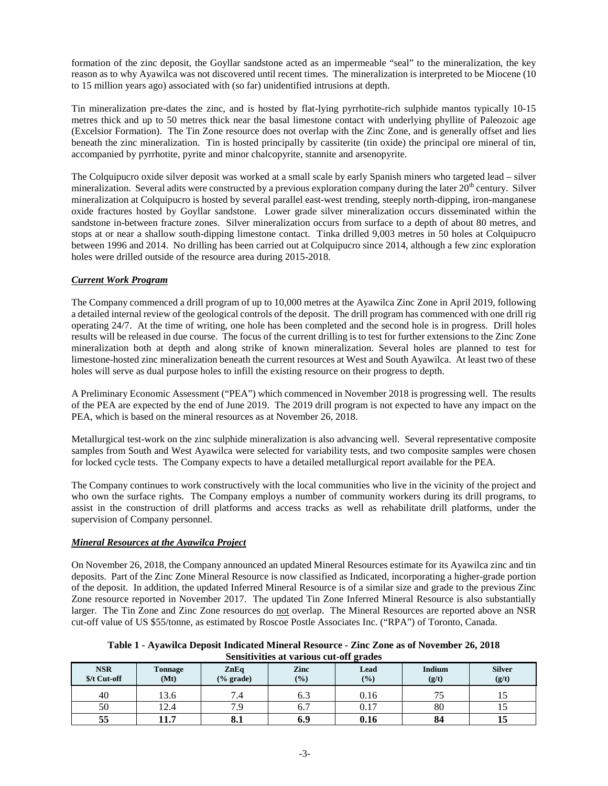formation of the zinc deposit, the Goyllar sandstone acted as an impermeable "seal" to the mineralization, the key reason as to why Ayawilca was not discovered until recent times. The mineralization is interpreted to be Miocene (10 to 15 million years ago) associated with (so far) unidentified intrusions at depth.

Tin mineralization pre-dates the zinc, and is hosted by flat-lying pyrrhotite-rich sulphide mantos typically 10-15 metres thick and up to 50 metres thick near the basal limestone contact with underlying phyllite of Paleozoic age (Excelsior Formation). The Tin Zone resource does not overlap with the Zinc Zone, and is generally offset and lies beneath the zinc mineralization. Tin is hosted principally by cassiterite (tin oxide) the principal ore mineral of tin, accompanied by pyrrhotite, pyrite and minor chalcopyrite, stannite and arsenopyrite.

The Colquipucro oxide silver deposit was worked at a small scale by early Spanish miners who targeted lead – silver mineralization. Several adits were constructed by a previous exploration company during the later  $20<sup>th</sup>$  century. Silver mineralization at Colquipucro is hosted by several parallel east-west trending, steeply north-dipping, iron-manganese oxide fractures hosted by Goyllar sandstone. Lower grade silver mineralization occurs disseminated within the sandstone in-between fracture zones. Silver mineralization occurs from surface to a depth of about 80 metres, and stops at or near a shallow south-dipping limestone contact. Tinka drilled 9,003 metres in 50 holes at Colquipucro between 1996 and 2014. No drilling has been carried out at Colquipucro since 2014, although a few zinc exploration holes were drilled outside of the resource area during 2015-2018.

## *Current Work Program*

The Company commenced a drill program of up to 10,000 metres at the Ayawilca Zinc Zone in April 2019, following a detailed internal review of the geological controls of the deposit. The drill program has commenced with one drill rig operating 24/7. At the time of writing, one hole has been completed and the second hole is in progress. Drill holes results will be released in due course. The focus of the current drilling is to test for further extensions to the Zinc Zone mineralization both at depth and along strike of known mineralization. Several holes are planned to test for limestone-hosted zinc mineralization beneath the current resources at West and South Ayawilca. At least two of these holes will serve as dual purpose holes to infill the existing resource on their progress to depth.

A Preliminary Economic Assessment ("PEA") which commenced in November 2018 is progressing well. The results of the PEA are expected by the end of June 2019. The 2019 drill program is not expected to have any impact on the PEA, which is based on the mineral resources as at November 26, 2018.

Metallurgical test-work on the zinc sulphide mineralization is also advancing well. Several representative composite samples from South and West Ayawilca were selected for variability tests, and two composite samples were chosen for locked cycle tests. The Company expects to have a detailed metallurgical report available for the PEA.

The Company continues to work constructively with the local communities who live in the vicinity of the project and who own the surface rights. The Company employs a number of community workers during its drill programs, to assist in the construction of drill platforms and access tracks as well as rehabilitate drill platforms, under the supervision of Company personnel.

## *Mineral Resources at the Ayawilca Project*

On November 26, 2018, the Company announced an updated Mineral Resources estimate for its Ayawilca zinc and tin deposits. Part of the Zinc Zone Mineral Resource is now classified as Indicated, incorporating a higher-grade portion of the deposit. In addition, the updated Inferred Mineral Resource is of a similar size and grade to the previous Zinc Zone resource reported in November 2017. The updated Tin Zone Inferred Mineral Resource is also substantially larger. The Tin Zone and Zinc Zone resources do not overlap. The Mineral Resources are reported above an NSR cut-off value of US \$55/tonne, as estimated by Roscoe Postle Associates Inc. ("RPA") of Toronto, Canada.

**Table 1 - Ayawilca Deposit Indicated Mineral Resource - Zinc Zone as of November 26, 2018 Sensitivities at various cut-off grades**

| <b>NSR</b><br>\$/t Cut-off | <b>Tonnage</b><br>(Mt) | 500<br><b>Indium</b><br><b>Silver</b><br>Zinc<br>ZnEq<br>Lead<br>(%)<br>(%)<br>(g/t)<br>$%$ grade)<br>(g/t) |                               |      |    |    |  |
|----------------------------|------------------------|-------------------------------------------------------------------------------------------------------------|-------------------------------|------|----|----|--|
| 40                         | 13.6                   | 7.4                                                                                                         | 0.3                           | 0.16 |    |    |  |
| 50                         | .2.4                   | 7 с<br>.                                                                                                    | - -<br>$\mathbf{O}_{\bullet}$ | 0.17 | 80 | ⊥ື |  |
| --<br>55                   | 17<br>11.1             | o<br>0.1                                                                                                    | 6.9                           | 0.16 | 84 | ⊥ພ |  |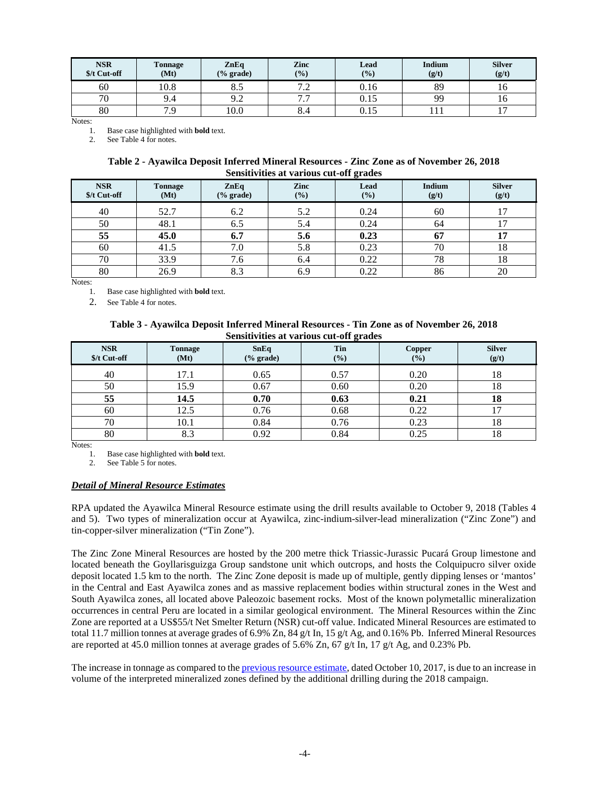| <b>NSR</b><br>\$/t Cut-off | <b>Tonnage</b><br>(Mt) | ZnEq<br>(% grade) | Zinc<br>(%)                               | Lead<br>(%) | <b>Indium</b><br>(g/t) | <b>Silver</b><br>(g/t) |
|----------------------------|------------------------|-------------------|-------------------------------------------|-------------|------------------------|------------------------|
| 60                         | 10.8                   | 8.5               | $\sim$ $\sim$<br>$\overline{\phantom{a}}$ | 0.16        | 89                     | 10                     |
| 70                         | 9.4                    | Ω≏<br>╯.∠         | $\sim$ $\sim$<br>. .                      | 0.15        | 99                     | 10                     |
| 80                         | -C                     | 10.0              | 0.4                                       | 0.15        |                        |                        |

Notes:

1. Base case highlighted with **bold** text.

2. See Table 4 for notes.

#### **Table 2 - Ayawilca Deposit Inferred Mineral Resources - Zinc Zone as of November 26, 2018 Sensitivities at various cut-off grades**

| <b>NSR</b><br>\$/t Cut-off | <b>Tonnage</b><br>(Mt) | ZnEq<br>$(\%$ grade) | Zinc<br>$(\%)$ | Lead<br>$(\%)$ | Indium<br>(g/t) | <b>Silver</b><br>(g/t) |
|----------------------------|------------------------|----------------------|----------------|----------------|-----------------|------------------------|
| 40                         | 52.7                   | 6.2                  | 5.2            | 0.24           | 60              | 17                     |
| 50                         | 48.1                   | 6.5                  | 5.4            | 0.24           | 64              | 17                     |
| 55                         | 45.0                   | 6.7                  | 5.6            | 0.23           | 67              | 17                     |
| 60                         | 41.5                   | 7.0                  | 5.8            | 0.23           | 70              | 18                     |
| 70                         | 33.9                   | 7.6                  | 6.4            | 0.22           | 78              | 18                     |
| 80                         | 26.9                   | 8.3                  | 6.9            | 0.22           | 86              | 20                     |

Notes:

1. Base case highlighted with **bold** text.

2. See Table 4 for notes.

#### **Table 3 - Ayawilca Deposit Inferred Mineral Resources - Tin Zone as of November 26, 2018 Sensitivities at various cut-off grades**

| <b>NSR</b><br>\$/t Cut-off | <b>Tonnage</b><br>(Mt) | SnEq<br>$(\%$ grade) | Tin<br>$(\%)$ | Copper<br>$(\%)$ | <b>Silver</b><br>(g/t) |
|----------------------------|------------------------|----------------------|---------------|------------------|------------------------|
| 40                         | 17.1                   | 0.65                 | 0.57          | 0.20             | 18                     |
| 50                         | 15.9                   | 0.67                 | 0.60          | 0.20             | 18                     |
| 55                         | 14.5                   | 0.70                 | 0.63          | 0.21             | 18                     |
| 60                         | 12.5                   | 0.76                 | 0.68          | 0.22             |                        |
| 70                         | 10.1                   | 0.84                 | 0.76          | 0.23             | 18                     |
| 80                         | 8.3                    | 0.92                 | 0.84          | 0.25             | 18                     |

Notes:

1. Base case highlighted with **bold** text.

2. See Table 5 for notes.

## *Detail of Mineral Resource Estimates*

RPA updated the Ayawilca Mineral Resource estimate using the drill results available to October 9, 2018 (Tables 4 and 5). Two types of mineralization occur at Ayawilca, zinc-indium-silver-lead mineralization ("Zinc Zone") and tin-copper-silver mineralization ("Tin Zone").

The Zinc Zone Mineral Resources are hosted by the 200 metre thick Triassic-Jurassic Pucará Group limestone and located beneath the Goyllarisguizga Group sandstone unit which outcrops, and hosts the Colquipucro silver oxide deposit located 1.5 km to the north. The Zinc Zone deposit is made up of multiple, gently dipping lenses or 'mantos' in the Central and East Ayawilca zones and as massive replacement bodies within structural zones in the West and South Ayawilca zones, all located above Paleozoic basement rocks. Most of the known polymetallic mineralization occurrences in central Peru are located in a similar geological environment. The Mineral Resources within the Zinc Zone are reported at a US\$55/t Net Smelter Return (NSR) cut-off value. Indicated Mineral Resources are estimated to total 11.7 million tonnes at average grades of 6.9% Zn, 84 g/t In, 15 g/t Ag, and 0.16% Pb. Inferred Mineral Resources are reported at 45.0 million tonnes at average grades of 5.6% Zn, 67 g/t In, 17 g/t Ag, and 0.23% Pb.

The increase in tonnage as compared to the [previous resource estimate,](https://www.tinkaresources.com/news/tinka-more-than-doubles-inferred-mineral-resources-at-ayawilca-42-7-million-tonnes-grading-7-3-zinc-equiv-and-10-5-million-tonnes-grading-0-70-tin-equiv) dated October 10, 2017, is due to an increase in volume of the interpreted mineralized zones defined by the additional drilling during the 2018 campaign.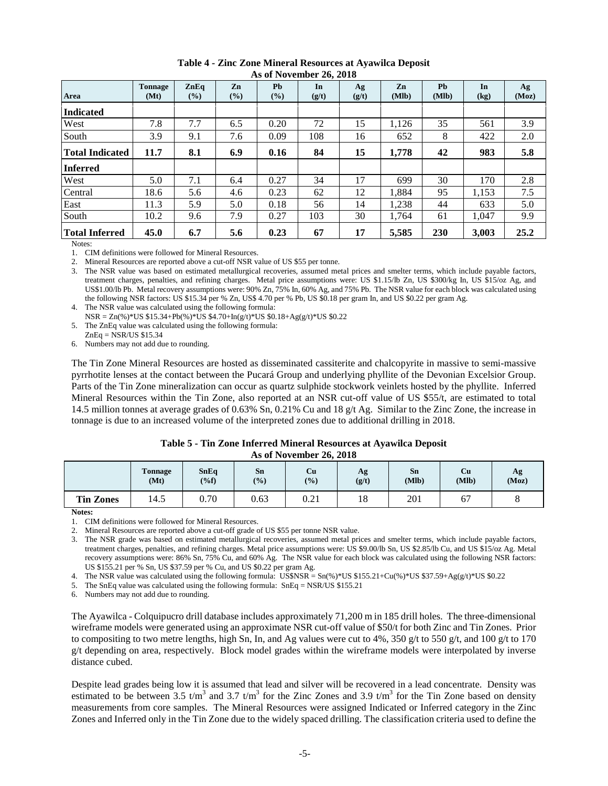| Area                   | <b>Tonnage</b><br>(Mt) | ZnEq<br>$($ %) | Zn<br>$($ %) | Pb<br>$($ %) | In<br>(g/t) | Ag<br>(g/t) | Zn<br>(Mlb) | Pb<br>(Mlb) | In<br>(kg) | Ag<br>(Moz) |
|------------------------|------------------------|----------------|--------------|--------------|-------------|-------------|-------------|-------------|------------|-------------|
| <b>Indicated</b>       |                        |                |              |              |             |             |             |             |            |             |
| West                   | 7.8                    | 7.7            | 6.5          | 0.20         | 72          | 15          | 1,126       | 35          | 561        | 3.9         |
| South                  | 3.9                    | 9.1            | 7.6          | 0.09         | 108         | 16          | 652         | 8           | 422        | 2.0         |
| <b>Total Indicated</b> | 11.7                   | 8.1            | 6.9          | 0.16         | 84          | 15          | 1,778       | 42          | 983        | 5.8         |
| <b>Inferred</b>        |                        |                |              |              |             |             |             |             |            |             |
| West                   | 5.0                    | 7.1            | 6.4          | 0.27         | 34          | 17          | 699         | 30          | 170        | 2.8         |
| Central                | 18.6                   | 5.6            | 4.6          | 0.23         | 62          | 12          | 1,884       | 95          | 1,153      | 7.5         |
| East                   | 11.3                   | 5.9            | 5.0          | 0.18         | 56          | 14          | 1,238       | 44          | 633        | 5.0         |
| South                  | 10.2                   | 9.6            | 7.9          | 0.27         | 103         | 30          | 1.764       | 61          | 1.047      | 9.9         |
| <b>Total Inferred</b>  | 45.0                   | 6.7            | 5.6          | 0.23         | 67          | 17          | 5,585       | 230         | 3,003      | 25.2        |

## **Table 4 - Zinc Zone Mineral Resources at Ayawilca Deposit As of November 26, 2018**

Notes:

1. CIM definitions were followed for Mineral Resources.

2. Mineral Resources are reported above a cut-off NSR value of US \$55 per tonne.

3. The NSR value was based on estimated metallurgical recoveries, assumed metal prices and smelter terms, which include payable factors, treatment charges, penalties, and refining charges. Metal price assumptions were: US \$1.15/lb Zn, US \$300/kg In, US \$15/oz Ag, and US\$1.00/lb Pb. Metal recovery assumptions were: 90% Zn, 75% In, 60% Ag, and 75% Pb. The NSR value for each block was calculated using the following NSR factors: US \$15.34 per % Zn, US\$ 4.70 per % Pb, US \$0.18 per gram In, and US \$0.22 per gram Ag.

4. The NSR value was calculated using the following formula:

NSR = Zn(%)\*US \$15.34+Pb(%)\*US \$4.70+In(g/t)\*US \$0.18+Ag(g/t)\*US \$0.22 5. The ZnEq value was calculated using the following formula:

ZnEq = NSR/US \$15.34

6. Numbers may not add due to rounding.

The Tin Zone Mineral Resources are hosted as disseminated cassiterite and chalcopyrite in massive to semi-massive pyrrhotite lenses at the contact between the Pucará Group and underlying phyllite of the Devonian Excelsior Group. Parts of the Tin Zone mineralization can occur as quartz sulphide stockwork veinlets hosted by the phyllite. Inferred Mineral Resources within the Tin Zone, also reported at an NSR cut-off value of US \$55/t, are estimated to total 14.5 million tonnes at average grades of 0.63% Sn, 0.21% Cu and 18 g/t Ag. Similar to the Zinc Zone, the increase in tonnage is due to an increased volume of the interpreted zones due to additional drilling in 2018.

#### **Table 5 - Tin Zone Inferred Mineral Resources at Ayawilca Deposit As of November 26, 2018**

|                  | <b>Tonnage</b> | <b>SnEq</b> | Sn    | Сu            | Ag    | Sn    | Сu    | Ag    |
|------------------|----------------|-------------|-------|---------------|-------|-------|-------|-------|
|                  | (Mt)           | $(\%f)$     | (9/0) | $\frac{9}{0}$ | (g/t) | (Mlb) | (Mlb) | (Moz) |
| <b>Tin Zones</b> | 14.5           | 0.70        | 0.63  | 0.21          | 18    | 201   | 67    |       |

**Notes:**

1. CIM definitions were followed for Mineral Resources.

2. Mineral Resources are reported above a cut-off grade of US \$55 per tonne NSR value.

3. The NSR grade was based on estimated metallurgical recoveries, assumed metal prices and smelter terms, which include payable factors, treatment charges, penalties, and refining charges. Metal price assumptions were: US \$9.00/lb Sn, US \$2.85/lb Cu, and US \$15/oz Ag. Metal recovery assumptions were: 86% Sn, 75% Cu, and 60% Ag. The NSR value for each block was calculated using the following NSR factors: US \$155.21 per % Sn, US \$37.59 per % Cu, and US \$0.22 per gram Ag.

4. The NSR value was calculated using the following formula: US\$NSR =  $Sn(\%)^*US$  \$155.21+Cu(%)\*US \$37.59+Ag(g/t)\*US \$0.22

5. The SnEq value was calculated using the following formula: SnEq = NSR/US \$155.21

6. Numbers may not add due to rounding.

The Ayawilca - Colquipucro drill database includes approximately 71,200 m in 185 drill holes. The three-dimensional wireframe models were generated using an approximate NSR cut-off value of \$50/t for both Zinc and Tin Zones. Prior to compositing to two metre lengths, high Sn, In, and Ag values were cut to  $4\%$ , 350 g/t to 550 g/t, and 100 g/t to 170 g/t depending on area, respectively. Block model grades within the wireframe models were interpolated by inverse distance cubed.

Despite lead grades being low it is assumed that lead and silver will be recovered in a lead concentrate. Density was estimated to be between 3.5 t/m<sup>3</sup> and 3.7 t/m<sup>3</sup> for the Zinc Zones and 3.9 t/m<sup>3</sup> for the Tin Zone based on density measurements from core samples. The Mineral Resources were assigned Indicated or Inferred category in the Zinc Zones and Inferred only in the Tin Zone due to the widely spaced drilling. The classification criteria used to define the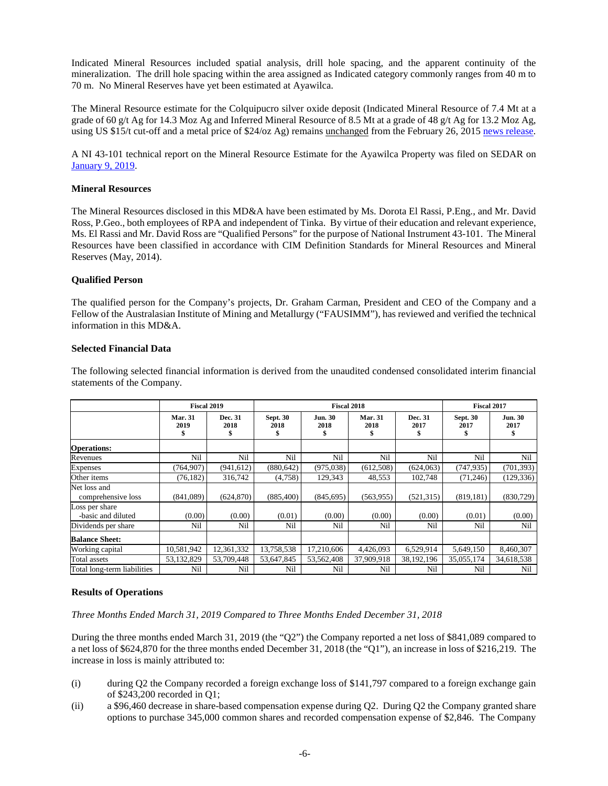Indicated Mineral Resources included spatial analysis, drill hole spacing, and the apparent continuity of the mineralization. The drill hole spacing within the area assigned as Indicated category commonly ranges from 40 m to 70 m. No Mineral Reserves have yet been estimated at Ayawilca.

The Mineral Resource estimate for the Colquipucro silver oxide deposit (Indicated Mineral Resource of 7.4 Mt at a grade of 60 g/t Ag for 14.3 Moz Ag and Inferred Mineral Resource of 8.5 Mt at a grade of 48 g/t Ag for 13.2 Moz Ag, using US \$15/t cut-off and a metal price of \$24/oz Ag) remains unchanged from the February 26, 201[5 news release.](https://www.tinkaresources.com/news/00-00-tinka-announces-initial-inferred-zinc-resource-of-13-3-million-tonnes-grading-7-697874)

A NI 43-101 technical report on the Mineral Resource Estimate for the Ayawilca Property was filed on SEDAR on [January 9, 2019.](https://www.tinkaresources.com/news/tinka-announces-filing-of-ni-43-101-technical-report-on-the-ayawilca-property-peru-2019)

## **Mineral Resources**

The Mineral Resources disclosed in this MD&A have been estimated by Ms. Dorota El Rassi, P.Eng., and Mr. David Ross, P.Geo., both employees of RPA and independent of Tinka. By virtue of their education and relevant experience, Ms. El Rassi and Mr. David Ross are "Qualified Persons" for the purpose of National Instrument 43-101. The Mineral Resources have been classified in accordance with CIM Definition Standards for Mineral Resources and Mineral Reserves (May, 2014).

#### **Qualified Person**

The qualified person for the Company's projects, Dr. Graham Carman, President and CEO of the Company and a Fellow of the Australasian Institute of Mining and Metallurgy ("FAUSIMM"), has reviewed and verified the technical information in this MD&A.

#### **Selected Financial Data**

The following selected financial information is derived from the unaudited condensed consolidated interim financial statements of the Company.

|                                      | <b>Fiscal 2019</b>     |                 | <b>Fiscal 2018</b>      |                        |                              |                       | Fiscal 2017                  |                 |
|--------------------------------------|------------------------|-----------------|-------------------------|------------------------|------------------------------|-----------------------|------------------------------|-----------------|
|                                      | <b>Mar. 31</b><br>2019 | Dec. 31<br>2018 | <b>Sept. 30</b><br>2018 | <b>Jun. 30</b><br>2018 | <b>Mar. 31</b><br>2018<br>\$ | Dec. 31<br>2017<br>\$ | <b>Sept. 30</b><br>2017<br>S | Jun. 30<br>2017 |
| <b>Operations:</b>                   |                        |                 |                         |                        |                              |                       |                              |                 |
| Revenues                             | Nil                    | Nil             | Nil                     | Nil                    | Nil                          | Nil                   | Nil                          | Nil             |
| <b>Expenses</b>                      | (764, 907)             | (941, 612)      | (880, 642)              | (975, 038)             | (612,508)                    | (624,063)             | (747, 935)                   | (701, 393)      |
| Other items                          | (76, 182)              | 316,742         | (4,758)                 | 129,343                | 48,553                       | 102,748               | (71, 246)                    | (129, 336)      |
| Net loss and<br>comprehensive loss   | (841,089)              | (624, 870)      | (885, 400)              | (845, 695)             | (563, 955)                   | (521, 315)            | (819, 181)                   | (830,729)       |
| Loss per share<br>-basic and diluted | (0.00)                 | (0.00)          | (0.01)                  | (0.00)                 | (0.00)                       | (0.00)                | (0.01)                       | (0.00)          |
| Dividends per share                  | Nil                    | Nil             | Nil                     | Nil                    | Nil                          | Nil                   | Nil                          | Nil             |
| <b>Balance Sheet:</b>                |                        |                 |                         |                        |                              |                       |                              |                 |
| Working capital                      | 10,581,942             | 12,361,332      | 13,758,538              | 17,210,606             | 4,426,093                    | 6,529,914             | 5,649,150                    | 8,460,307       |
| <b>Total</b> assets                  | 53,132,829             | 53,709,448      | 53,647,845              | 53,562,408             | 37,909,918                   | 38,192,196            | 35,055,174                   | 34,618,538      |
| Total long-term liabilities          | Nil                    | Nil             | Nil                     | Nil                    | Nil                          | Nil                   | Nil                          | Nil             |

#### **Results of Operations**

*Three Months Ended March 31, 2019 Compared to Three Months Ended December 31, 2018*

During the three months ended March 31, 2019 (the "Q2") the Company reported a net loss of \$841,089 compared to a net loss of \$624,870 for the three months ended December 31, 2018 (the "Q1"), an increase in loss of \$216,219. The increase in loss is mainly attributed to:

- (i) during Q2 the Company recorded a foreign exchange loss of \$141,797 compared to a foreign exchange gain of \$243,200 recorded in Q1;
- (ii) a \$96,460 decrease in share-based compensation expense during Q2. During Q2 the Company granted share options to purchase 345,000 common shares and recorded compensation expense of \$2,846. The Company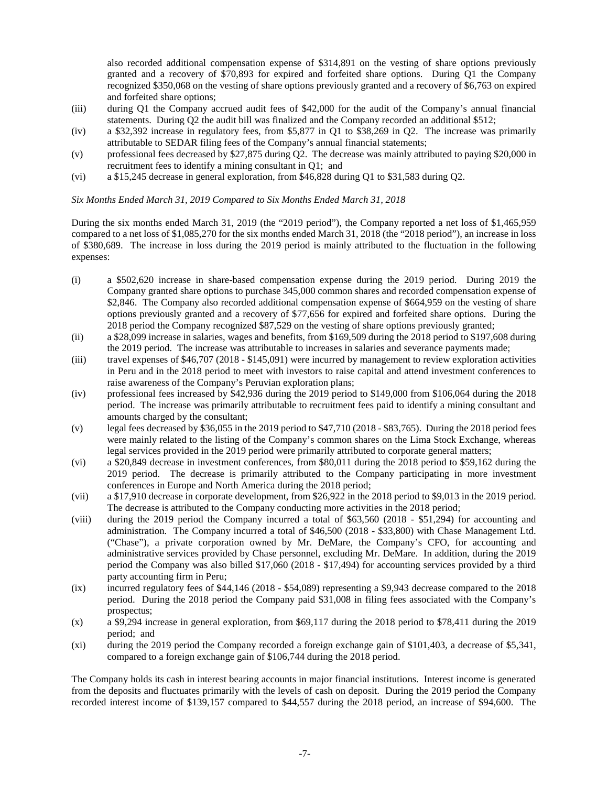also recorded additional compensation expense of \$314,891 on the vesting of share options previously granted and a recovery of \$70,893 for expired and forfeited share options. During Q1 the Company recognized \$350,068 on the vesting of share options previously granted and a recovery of \$6,763 on expired and forfeited share options;

- (iii) during Q1 the Company accrued audit fees of \$42,000 for the audit of the Company's annual financial statements. During Q2 the audit bill was finalized and the Company recorded an additional \$512;
- (iv) a \$32,392 increase in regulatory fees, from \$5,877 in Q1 to \$38,269 in Q2. The increase was primarily attributable to SEDAR filing fees of the Company's annual financial statements;
- (v) professional fees decreased by \$27,875 during Q2. The decrease was mainly attributed to paying \$20,000 in recruitment fees to identify a mining consultant in Q1; and
- (vi) a \$15,245 decrease in general exploration, from \$46,828 during Q1 to \$31,583 during Q2.

*Six Months Ended March 31, 2019 Compared to Six Months Ended March 31, 2018*

During the six months ended March 31, 2019 (the "2019 period"), the Company reported a net loss of \$1,465,959 compared to a net loss of \$1,085,270 for the six months ended March 31, 2018 (the "2018 period"), an increase in loss of \$380,689. The increase in loss during the 2019 period is mainly attributed to the fluctuation in the following expenses:

- (i) a \$502,620 increase in share-based compensation expense during the 2019 period. During 2019 the Company granted share options to purchase 345,000 common shares and recorded compensation expense of \$2,846. The Company also recorded additional compensation expense of \$664,959 on the vesting of share options previously granted and a recovery of \$77,656 for expired and forfeited share options. During the 2018 period the Company recognized \$87,529 on the vesting of share options previously granted;
- (ii) a \$28,099 increase in salaries, wages and benefits, from \$169,509 during the 2018 period to \$197,608 during the 2019 period. The increase was attributable to increases in salaries and severance payments made;
- (iii) travel expenses of \$46,707 (2018 \$145,091) were incurred by management to review exploration activities in Peru and in the 2018 period to meet with investors to raise capital and attend investment conferences to raise awareness of the Company's Peruvian exploration plans;
- (iv) professional fees increased by \$42,936 during the 2019 period to \$149,000 from \$106,064 during the 2018 period. The increase was primarily attributable to recruitment fees paid to identify a mining consultant and amounts charged by the consultant;
- (v) legal fees decreased by \$36,055 in the 2019 period to \$47,710 (2018 \$83,765). During the 2018 period fees were mainly related to the listing of the Company's common shares on the Lima Stock Exchange, whereas legal services provided in the 2019 period were primarily attributed to corporate general matters;
- (vi) a \$20,849 decrease in investment conferences, from \$80,011 during the 2018 period to \$59,162 during the 2019 period. The decrease is primarily attributed to the Company participating in more investment conferences in Europe and North America during the 2018 period;
- (vii) a \$17,910 decrease in corporate development, from \$26,922 in the 2018 period to \$9,013 in the 2019 period. The decrease is attributed to the Company conducting more activities in the 2018 period;
- (viii) during the 2019 period the Company incurred a total of \$63,560 (2018 \$51,294) for accounting and administration. The Company incurred a total of \$46,500 (2018 - \$33,800) with Chase Management Ltd. ("Chase"), a private corporation owned by Mr. DeMare, the Company's CFO, for accounting and administrative services provided by Chase personnel, excluding Mr. DeMare. In addition, during the 2019 period the Company was also billed \$17,060 (2018 - \$17,494) for accounting services provided by a third party accounting firm in Peru;
- (ix) incurred regulatory fees of \$44,146 (2018 \$54,089) representing a \$9,943 decrease compared to the 2018 period. During the 2018 period the Company paid \$31,008 in filing fees associated with the Company's prospectus;
- (x) a \$9,294 increase in general exploration, from \$69,117 during the 2018 period to \$78,411 during the 2019 period; and
- (xi) during the 2019 period the Company recorded a foreign exchange gain of \$101,403, a decrease of \$5,341, compared to a foreign exchange gain of \$106,744 during the 2018 period.

The Company holds its cash in interest bearing accounts in major financial institutions. Interest income is generated from the deposits and fluctuates primarily with the levels of cash on deposit. During the 2019 period the Company recorded interest income of \$139,157 compared to \$44,557 during the 2018 period, an increase of \$94,600. The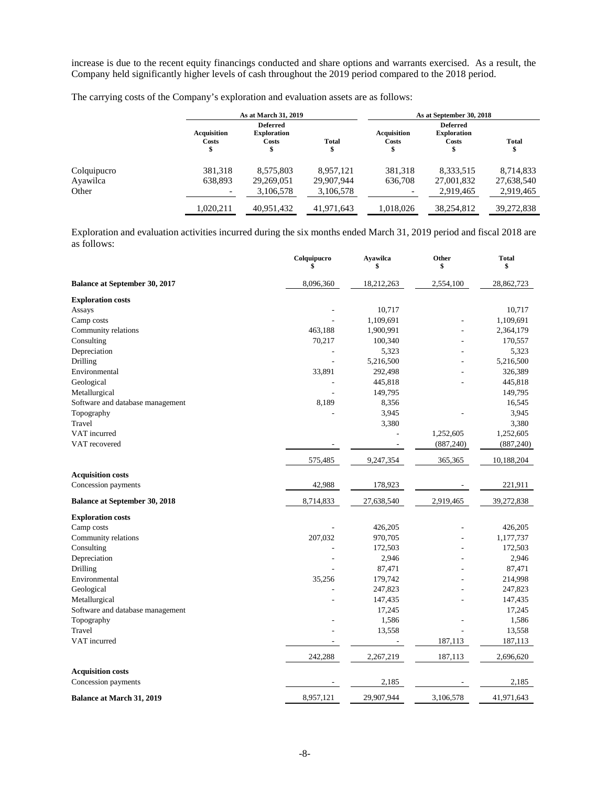increase is due to the recent equity financings conducted and share options and warrants exercised. As a result, the Company held significantly higher levels of cash throughout the 2019 period compared to the 2018 period.

The carrying costs of the Company's exploration and evaluation assets are as follows:

|             |                             | As at March 31, 2019                           |                   | As at September 30, 2018 |                                                |                   |  |
|-------------|-----------------------------|------------------------------------------------|-------------------|--------------------------|------------------------------------------------|-------------------|--|
|             | <b>Acquisition</b><br>Costs | <b>Deferred</b><br><b>Exploration</b><br>Costs | <b>Total</b><br>Φ | Acquisition<br>Costs     | <b>Deferred</b><br><b>Exploration</b><br>Costs | <b>Total</b><br>Ф |  |
| Colquipucro | 381.318                     | 8,575,803                                      | 8,957,121         | 381,318                  | 8,333,515                                      | 8,714,833         |  |
| Ayawilca    | 638.893                     | 29,269,051                                     | 29,907,944        | 636,708                  | 27,001,832                                     | 27,638,540        |  |
| Other       |                             | 3,106,578                                      | 3,106,578         |                          | 2,919,465                                      | 2,919,465         |  |
|             | 1.020.211                   | 40,951,432                                     | 41,971,643        | 1.018.026                | 38.254.812                                     | 39,272,838        |  |

Exploration and evaluation activities incurred during the six months ended March 31, 2019 period and fiscal 2018 are as follows:

|                                      | Colquipucro<br>\$ | <b>Ayawilca</b><br>\$ | Other<br>\$ | <b>Total</b><br>\$ |
|--------------------------------------|-------------------|-----------------------|-------------|--------------------|
| <b>Balance at September 30, 2017</b> | 8,096,360         | 18,212,263            | 2,554,100   | 28,862,723         |
| <b>Exploration costs</b>             |                   |                       |             |                    |
| Assays                               |                   | 10,717                |             | 10,717             |
| Camp costs                           |                   | 1,109,691             |             | 1,109,691          |
| Community relations                  | 463,188           | 1,900,991             |             | 2,364,179          |
| Consulting                           | 70,217            | 100,340               |             | 170,557            |
| Depreciation                         |                   | 5,323                 |             | 5,323              |
| Drilling                             |                   | 5,216,500             |             | 5,216,500          |
| Environmental                        | 33,891            | 292,498               |             | 326,389            |
| Geological                           |                   | 445,818               |             | 445,818            |
| Metallurgical                        |                   | 149,795               |             | 149,795            |
| Software and database management     | 8,189             | 8,356                 |             | 16,545             |
| Topography                           |                   | 3,945                 |             | 3,945              |
| Travel                               |                   | 3,380                 |             | 3,380              |
| VAT incurred                         |                   |                       | 1,252,605   | 1,252,605          |
| VAT recovered                        |                   |                       | (887, 240)  | (887,240)          |
|                                      | 575,485           | 9,247,354             | 365,365     | 10,188,204         |
| <b>Acquisition costs</b>             |                   |                       |             |                    |
| Concession payments                  | 42,988            | 178,923               |             | 221,911            |
| <b>Balance at September 30, 2018</b> | 8,714,833         | 27,638,540            | 2,919,465   | 39,272,838         |
| <b>Exploration costs</b>             |                   |                       |             |                    |
| Camp costs                           |                   | 426,205               |             | 426,205            |
| Community relations                  | 207,032           | 970,705               |             | 1,177,737          |
| Consulting                           |                   | 172,503               |             | 172,503            |
| Depreciation                         |                   | 2,946                 |             | 2,946              |
| Drilling                             |                   | 87,471                |             | 87,471             |
| Environmental                        | 35,256            | 179,742               |             | 214,998            |
| Geological                           |                   | 247,823               |             | 247,823            |
| Metallurgical                        |                   | 147,435               |             | 147,435            |
| Software and database management     |                   | 17,245                |             | 17,245             |
| Topography                           |                   | 1,586                 |             | 1,586              |
| Travel                               |                   | 13,558                |             | 13,558             |
| VAT incurred                         |                   | $\frac{1}{2}$         | 187,113     | 187,113            |
|                                      | 242,288           | 2,267,219             | 187,113     | 2,696,620          |
| <b>Acquisition costs</b>             |                   |                       |             |                    |
| Concession payments                  |                   | 2,185                 |             | 2,185              |
| <b>Balance at March 31, 2019</b>     | 8,957,121         | 29,907,944            | 3,106,578   | 41,971,643         |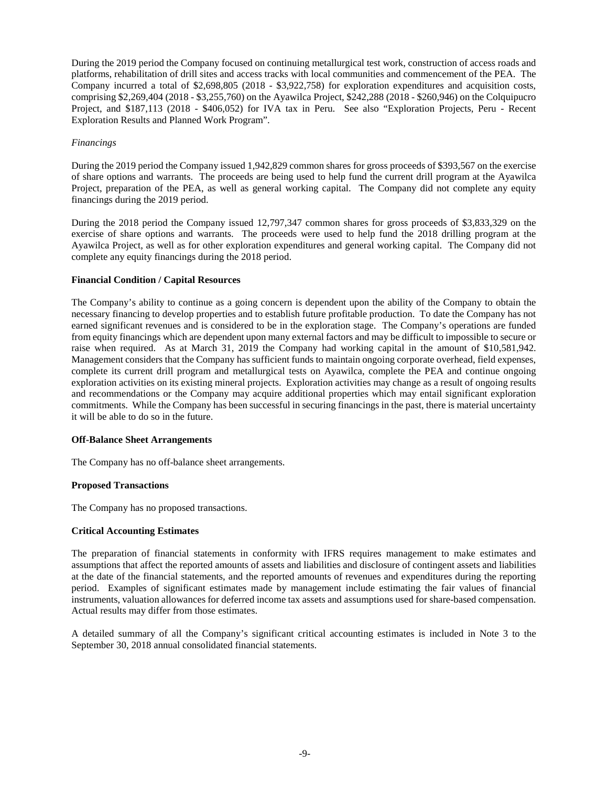During the 2019 period the Company focused on continuing metallurgical test work, construction of access roads and platforms, rehabilitation of drill sites and access tracks with local communities and commencement of the PEA. The Company incurred a total of \$2,698,805 (2018 - \$3,922,758) for exploration expenditures and acquisition costs, comprising \$2,269,404 (2018 - \$3,255,760) on the Ayawilca Project, \$242,288 (2018 - \$260,946) on the Colquipucro Project, and \$187,113 (2018 - \$406,052) for IVA tax in Peru. See also "Exploration Projects, Peru - Recent Exploration Results and Planned Work Program".

## *Financings*

During the 2019 period the Company issued 1,942,829 common shares for gross proceeds of \$393,567 on the exercise of share options and warrants. The proceeds are being used to help fund the current drill program at the Ayawilca Project, preparation of the PEA, as well as general working capital. The Company did not complete any equity financings during the 2019 period.

During the 2018 period the Company issued 12,797,347 common shares for gross proceeds of \$3,833,329 on the exercise of share options and warrants. The proceeds were used to help fund the 2018 drilling program at the Ayawilca Project, as well as for other exploration expenditures and general working capital. The Company did not complete any equity financings during the 2018 period.

## **Financial Condition / Capital Resources**

The Company's ability to continue as a going concern is dependent upon the ability of the Company to obtain the necessary financing to develop properties and to establish future profitable production. To date the Company has not earned significant revenues and is considered to be in the exploration stage. The Company's operations are funded from equity financings which are dependent upon many external factors and may be difficult to impossible to secure or raise when required. As at March 31, 2019 the Company had working capital in the amount of \$10,581,942. Management considers that the Company has sufficient funds to maintain ongoing corporate overhead, field expenses, complete its current drill program and metallurgical tests on Ayawilca, complete the PEA and continue ongoing exploration activities on its existing mineral projects. Exploration activities may change as a result of ongoing results and recommendations or the Company may acquire additional properties which may entail significant exploration commitments. While the Company has been successful in securing financings in the past, there is material uncertainty it will be able to do so in the future.

## **Off-Balance Sheet Arrangements**

The Company has no off-balance sheet arrangements.

## **Proposed Transactions**

The Company has no proposed transactions.

## **Critical Accounting Estimates**

The preparation of financial statements in conformity with IFRS requires management to make estimates and assumptions that affect the reported amounts of assets and liabilities and disclosure of contingent assets and liabilities at the date of the financial statements, and the reported amounts of revenues and expenditures during the reporting period. Examples of significant estimates made by management include estimating the fair values of financial instruments, valuation allowances for deferred income tax assets and assumptions used for share-based compensation. Actual results may differ from those estimates.

A detailed summary of all the Company's significant critical accounting estimates is included in Note 3 to the September 30, 2018 annual consolidated financial statements.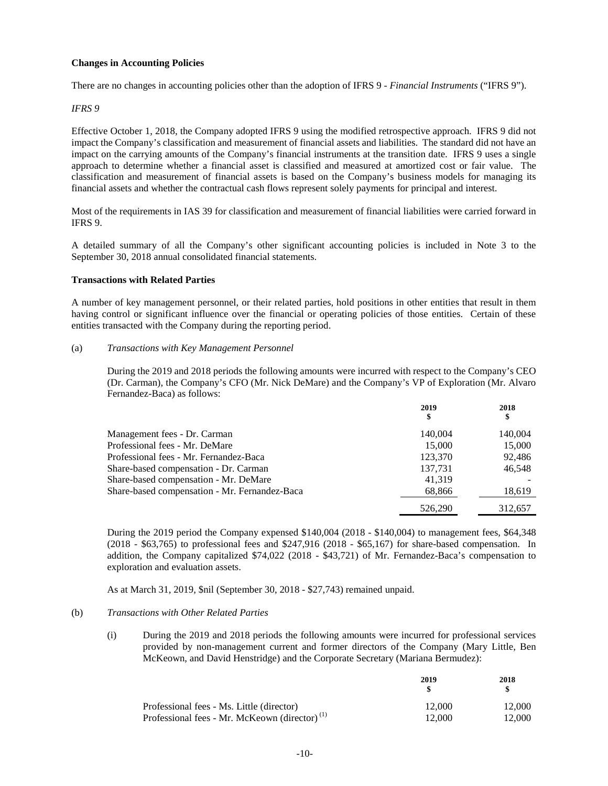## **Changes in Accounting Policies**

There are no changes in accounting policies other than the adoption of IFRS 9 - *Financial Instruments* ("IFRS 9").

#### *IFRS 9*

Effective October 1, 2018, the Company adopted IFRS 9 using the modified retrospective approach. IFRS 9 did not impact the Company's classification and measurement of financial assets and liabilities. The standard did not have an impact on the carrying amounts of the Company's financial instruments at the transition date. IFRS 9 uses a single approach to determine whether a financial asset is classified and measured at amortized cost or fair value. The classification and measurement of financial assets is based on the Company's business models for managing its financial assets and whether the contractual cash flows represent solely payments for principal and interest.

Most of the requirements in IAS 39 for classification and measurement of financial liabilities were carried forward in IFRS 9.

A detailed summary of all the Company's other significant accounting policies is included in Note 3 to the September 30, 2018 annual consolidated financial statements.

#### **Transactions with Related Parties**

A number of key management personnel, or their related parties, hold positions in other entities that result in them having control or significant influence over the financial or operating policies of those entities. Certain of these entities transacted with the Company during the reporting period.

#### (a) *Transactions with Key Management Personnel*

During the 2019 and 2018 periods the following amounts were incurred with respect to the Company's CEO (Dr. Carman), the Company's CFO (Mr. Nick DeMare) and the Company's VP of Exploration (Mr. Alvaro Fernandez-Baca) as follows:

|                                               | 2019<br>\$ | 2018<br>\$ |
|-----------------------------------------------|------------|------------|
| Management fees - Dr. Carman                  | 140,004    | 140,004    |
| Professional fees - Mr. DeMare                | 15,000     | 15,000     |
| Professional fees - Mr. Fernandez-Baca        | 123,370    | 92,486     |
| Share-based compensation - Dr. Carman         | 137,731    | 46,548     |
| Share-based compensation - Mr. DeMare         | 41,319     |            |
| Share-based compensation - Mr. Fernandez-Baca | 68,866     | 18,619     |
|                                               | 526.290    | 312,657    |

During the 2019 period the Company expensed \$140,004 (2018 - \$140,004) to management fees, \$64,348 (2018 - \$63,765) to professional fees and \$247,916 (2018 - \$65,167) for share-based compensation. In addition, the Company capitalized \$74,022 (2018 - \$43,721) of Mr. Fernandez-Baca's compensation to exploration and evaluation assets.

As at March 31, 2019, \$nil (September 30, 2018 - \$27,743) remained unpaid.

#### (b) *Transactions with Other Related Parties*

(i) During the 2019 and 2018 periods the following amounts were incurred for professional services provided by non-management current and former directors of the Company (Mary Little, Ben McKeown, and David Henstridge) and the Corporate Secretary (Mariana Bermudez):

|                                                           | 2019   | 2018   |
|-----------------------------------------------------------|--------|--------|
|                                                           |        | -8     |
| Professional fees - Ms. Little (director)                 | 12.000 | 12,000 |
| Professional fees - Mr. McKeown (director) <sup>(1)</sup> | 12.000 | 12,000 |